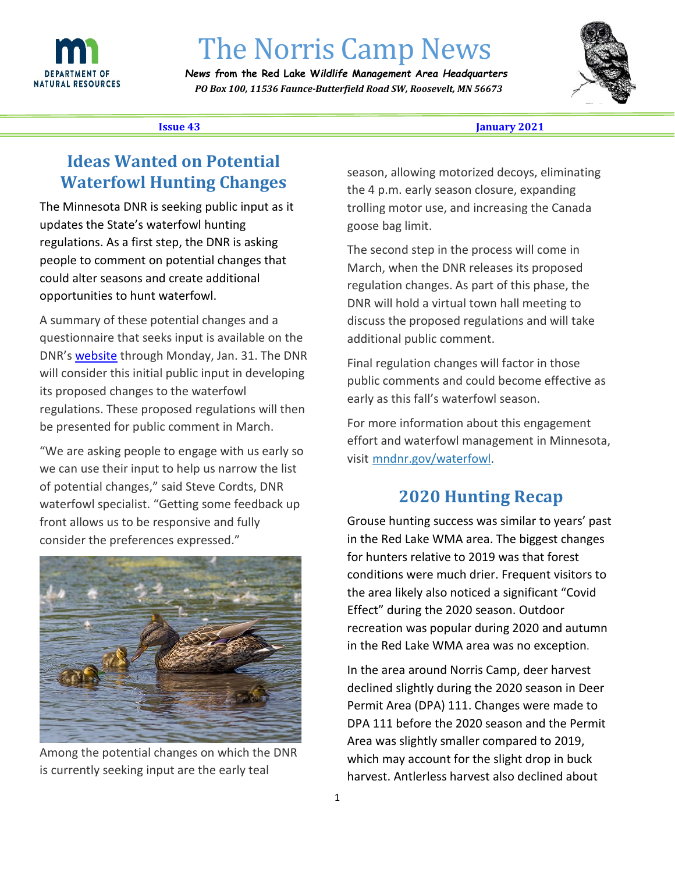

# The Norris Camp News

*News f***rom the Red Lake W***ildlife* **M***anagement* **A***rea Headquarters PO Box 100, 11536 Faunce-Butterfield Road SW, Roosevelt, MN 56673* 



#### **Issue 43 Ianuary 2021**

l,

## **Ideas Wanted on Potential Waterfowl Hunting Changes**

 The Minnesota DNR is seeking public input as it regulations. As a first step, the DNR is asking updates the State's waterfowl hunting people to comment on potential changes that could alter seasons and create additional opportunities to hunt waterfowl.

 A summary of these potential changes and a questionnaire that seeks input is available on the DNR's website through Monday, Jan. 31. The DNR will consider this initial public input in developing its proposed changes to the waterfowl regulations. These proposed regulations will then be presented for public comment in March.

 front allows us to be responsive and fully "We are asking people to engage with us early so we can use their input to help us narrow the list of potential changes," said Steve Cordts, DNR waterfowl specialist. "Getting some feedback up consider the preferences expressed."



 Among the potential changes on which the DNR is currently seeking input are the early teal

 the 4 p.m. early season closure, expanding season, allowing motorized decoys, eliminating trolling motor use, and increasing the Canada goose bag limit.

 regulation changes. As part of this phase, the DNR will hold a virtual town hall meeting to The second step in the process will come in March, when the DNR releases its proposed discuss the proposed regulations and will take additional public comment.

 early as this fall's waterfowl season. Final regulation changes will factor in those public comments and could become effective as

For more information about this engagement effort and waterfowl management in Minnesota, visit mndnr.gov/waterfowl.

#### **2020 Hunting Recap**

 Grouse hunting success was similar to years' past conditions were much drier. Frequent visitors to recreation was popular during 2020 and autumn in the Red Lake WMA area. The biggest changes for hunters relative to 2019 was that forest the area likely also noticed a significant "Covid Effect" during the 2020 season. Outdoor in the Red Lake WMA area was no exception.

 In the area around Norris Camp, deer harvest Permit Area (DPA) 111. Changes were made to DPA 111 before the 2020 season and the Permit harvest. Antlerless harvest also declined about declined slightly during the 2020 season in Deer Area was slightly smaller compared to 2019, which may account for the slight drop in buck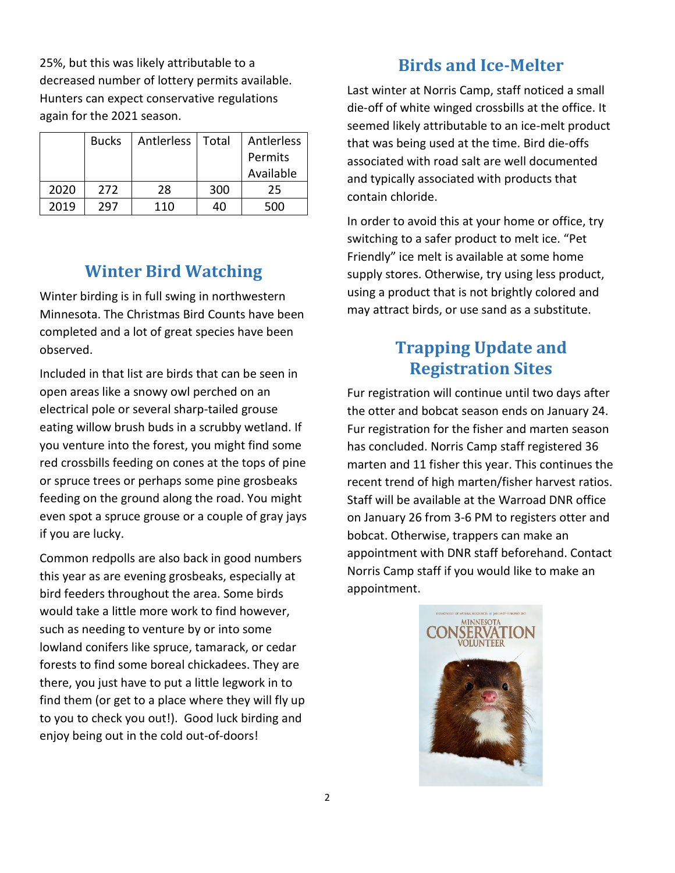25%, but this was likely attributable to a decreased number of lottery permits available. Hunters can expect conservative regulations again for the 2021 season.

|      | <b>Bucks</b> | Antlerless | Total | Antlerless |
|------|--------------|------------|-------|------------|
|      |              |            |       | Permits    |
|      |              |            |       | Available  |
| 2020 | 272          | 28         | 300   | 25         |
| 2019 | 297          | 110        | 40    | 500        |

# **Winter Bird Watching**

Winter birding is in full swing in northwestern Minnesota. The Christmas Bird Counts have been completed and a lot of great species have been observed.

 open areas like a snowy owl perched on an you venture into the forest, you might find some or spruce trees or perhaps some pine grosbeaks even spot a spruce grouse or a couple of gray jays if you are lucky. Included in that list are birds that can be seen in electrical pole or several sharp-tailed grouse eating willow brush buds in a scrubby wetland. If red crossbills feeding on cones at the tops of pine feeding on the ground along the road. You might

 bird feeders throughout the area. Some birds such as needing to venture by or into some forests to find some boreal chickadees. They are there, you just have to put a little legwork in to find them (or get to a place where they will fly up to you to check you out!). Good luck birding and Common redpolls are also back in good numbers this year as are evening grosbeaks, especially at would take a little more work to find however, lowland conifers like spruce, tamarack, or cedar enjoy being out in the cold out-of-doors!

### **Birds and Ice-Melter**

Last winter at Norris Camp, staff noticed a small die-off of white winged crossbills at the office. It seemed likely attributable to an ice-melt product that was being used at the time. Bird die-offs associated with road salt are well documented and typically associated with products that contain chloride.

 In order to avoid this at your home or office, try Friendly" ice melt is available at some home switching to a safer product to melt ice. "Pet supply stores. Otherwise, try using less product, using a product that is not brightly colored and may attract birds, or use sand as a substitute.

# **Trapping Update and Registration Sites**

 Fur registration will continue until two days after marten and 11 fisher this year. This continues the Staff will be available at the Warroad DNR office on January 26 from 3-6 PM to registers otter and Norris Camp staff if you would like to make an the otter and bobcat season ends on January 24. Fur registration for the fisher and marten season has concluded. Norris Camp staff registered 36 recent trend of high marten/fisher harvest ratios. bobcat. Otherwise, trappers can make an appointment with DNR staff beforehand. Contact appointment.